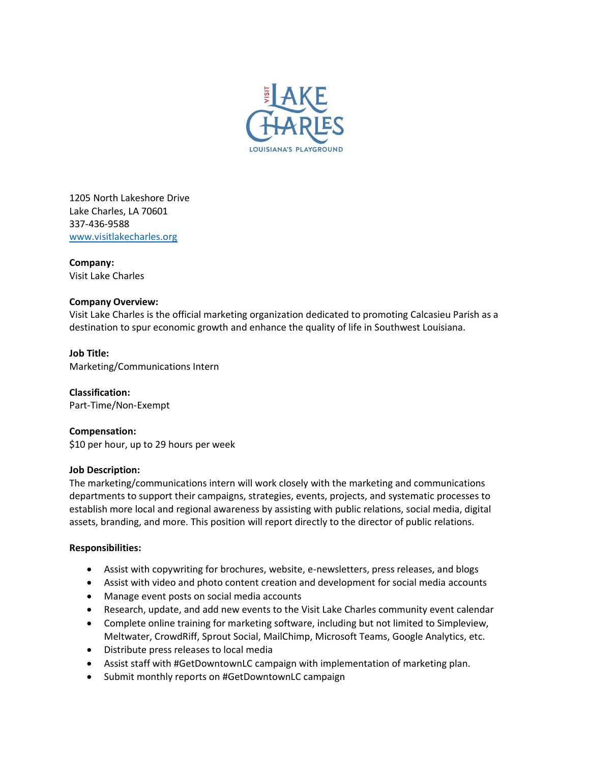

1205 North Lakeshore Drive Lake Charles, LA 70601 337-436-9588 [www.visitlakecharles.org](http://www.visitlakecharles.org/)

**Company:**

Visit Lake Charles

# **Company Overview:**

Visit Lake Charles is the official marketing organization dedicated to promoting Calcasieu Parish as a destination to spur economic growth and enhance the quality of life in Southwest Louisiana.

# **Job Title:**

Marketing/Communications Intern

**Classification:** Part-Time/Non-Exempt

**Compensation:** \$10 per hour, up to 29 hours per week

## **Job Description:**

The marketing/communications intern will work closely with the marketing and communications departments to support their campaigns, strategies, events, projects, and systematic processes to establish more local and regional awareness by assisting with public relations, social media, digital assets, branding, and more. This position will report directly to the director of public relations.

## **Responsibilities:**

- Assist with copywriting for brochures, website, e-newsletters, press releases, and blogs
- Assist with video and photo content creation and development for social media accounts
- Manage event posts on social media accounts
- Research, update, and add new events to the Visit Lake Charles community event calendar
- Complete online training for marketing software, including but not limited to Simpleview, Meltwater, CrowdRiff, Sprout Social, MailChimp, Microsoft Teams, Google Analytics, etc.
- Distribute press releases to local media
- Assist staff with #GetDowntownLC campaign with implementation of marketing plan.
- Submit monthly reports on #GetDowntownLC campaign